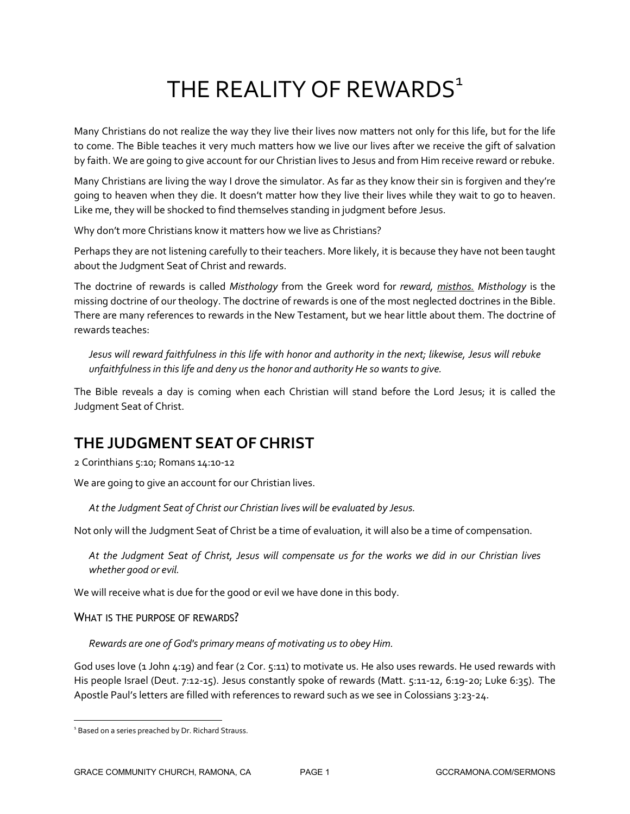# THE REALITY OF REWARDS<sup>1</sup>

Many Christians do not realize the way they live their lives now matters not only for this life, but for the life to come. The Bible teaches it very much matters how we live our lives after we receive the gift of salvation by faith. We are going to give account for our Christian lives to Jesus and from Him receive reward or rebuke.

Many Christians are living the way I drove the simulator. As far as they know their sin is forgiven and they're going to heaven when they die. It doesn't matter how they live their lives while they wait to go to heaven. Like me, they will be shocked to find themselves standing in judgment before Jesus.

Why don't more Christians know it matters how we live as Christians?

Perhaps they are not listening carefully to their teachers. More likely, it is because they have not been taught about the Judgment Seat of Christ and rewards.

The doctrine of rewards is called *Misthology* from the Greek word for *reward, misthos. Misthology* is the missing doctrine of our theology. The doctrine of rewards is one of the most neglected doctrines in the Bible. There are many references to rewards in the New Testament, but we hear little about them. The doctrine of rewards teaches:

*Jesus will reward faithfulness in this life with honor and authority in the next; likewise, Jesus will rebuke unfaithfulness in this life and deny us the honor and authority He so wants to give.*

The Bible reveals a day is coming when each Christian will stand before the Lord Jesus; it is called the Judgment Seat of Christ.

## **THE JUDGMENT SEAT OF CHRIST**

2 Corinthians 5:10; Romans 14:10-12

We are going to give an account for our Christian lives.

*At the Judgment Seat of Christ our Christian lives will be evaluated by Jesus.*

Not only will the Judgment Seat of Christ be a time of evaluation, it will also be a time of compensation.

*At the Judgment Seat of Christ, Jesus will compensate us for the works we did in our Christian lives whether good or evil.*

We will receive what is due for the good or evil we have done in this body.

WHAT IS THE PURPOSE OF REWARDS?

*Rewards are one of God's primary means of motivating us to obey Him.*

God uses love (1 John 4:19) and fear (2 Cor. 5:11) to motivate us. He also uses rewards. He used rewards with His people Israel (Deut. 7:12-15). Jesus constantly spoke of rewards (Matt. 5:11-12, 6:19-20; Luke 6:35). The Apostle Paul's letters are filled with references to reward such as we see in Colossians 3:23-24.

 $\frac{1}{1}$ <sup>1</sup> Based on a series preached by Dr. Richard Strauss.